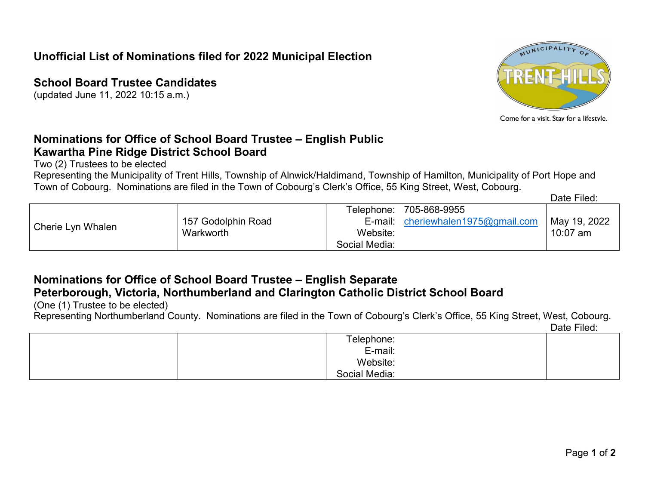## **Unofficial List of Nominations filed for 2022 Municipal Election**

**School Board Trustee Candidates**

(updated June 11, 2022 10:15 a.m.)



Come for a visit. Stay for a lifestyle.

## **Nominations for Office of School Board Trustee – English Public Kawartha Pine Ridge District School Board**

Two (2) Trustees to be elected

Representing the Municipality of Trent Hills, Township of Alnwick/Haldimand, Township of Hamilton, Municipality of Port Hope and Town of Cobourg. Nominations are filed in the Town of Cobourg's Clerk's Office, 55 King Street, West, Cobourg.

Date Filed:

# **Nominations for Office of School Board Trustee – English Separate Peterborough, Victoria, Northumberland and Clarington Catholic District School Board**

(One (1) Trustee to be elected)

Representing Northumberland County. Nominations are filed in the Town of Cobourg's Clerk's Office, 55 King Street, West, Cobourg.

Date Filed:

| Telephone:    |  |
|---------------|--|
| E-mail:       |  |
| Website:      |  |
| Social Media: |  |